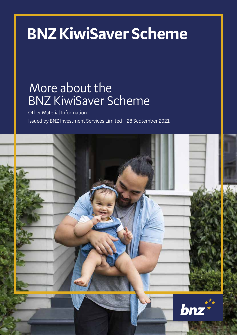# **BNZ KiwiSaver Scheme**

# More about the BNZ KiwiSaver Scheme

Other Material Information Issued by BNZ Investment Services Limited – 28 September 2021

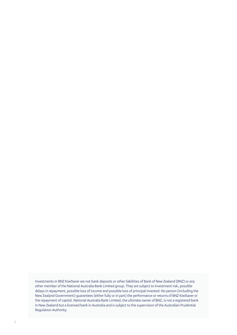Investments in BNZ KiwiSaver are not bank deposits or other liabilities of Bank of New Zealand (BNZ) or any other member of the National Australia Bank Limited group. They are subject to investment risk, possible delays in repayment, possible loss of income and possible loss of principal invested. No person (including the New Zealand Government) guarantees (either fully or in part) the performance or returns of BNZ KiwiSaver or the repayment of capital. National Australia Bank Limited, the ultimate owner of BNZ, is not a registered bank in New Zealand but a licensed bank in Australia and is subject to the supervision of the Australian Prudential Regulation Authority.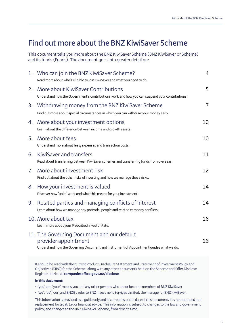# **Find out more about the BNZ KiwiSaver Scheme**

This document tells you more about the BNZ KiwiSaver Scheme (BNZ KiwiSaver or Scheme) and its funds (Funds). The document goes into greater detail on:

|    | 1. Who can join the BNZ KiwiSaver Scheme?<br>Read more about who's eligible to join KiwiSaver and what you need to do.                                                                                           | 4              |
|----|------------------------------------------------------------------------------------------------------------------------------------------------------------------------------------------------------------------|----------------|
| 2. | More about KiwiSaver Contributions<br>Understand how the Government's contributions work and how you can suspend your contributions.                                                                             | 5              |
| 3. | Withdrawing money from the BNZ KiwiSaver Scheme<br>Find out more about special circumstances in which you can withdraw your money early.                                                                         | $\overline{7}$ |
| 4. | More about your investment options<br>Learn about the difference between income and growth assets.                                                                                                               | 10             |
| 5. | More about fees<br>Understand more about fees, expenses and transaction costs.                                                                                                                                   | 10             |
| 6. | KiwiSaver and transfers<br>Read about transferring between KiwiSaver schemes and transferring funds from overseas.                                                                                               | 11             |
| 7. | More about investment risk<br>Find out about the other risks of investing and how we manage those risks.                                                                                                         | 12             |
| 8. | How your investment is valued<br>Discover how 'units' work and what this means for your investment.                                                                                                              | 14             |
| 9. | Related parties and managing conflicts of interest<br>Learn about how we manage any potential people and related company conflicts.                                                                              | 14             |
|    | 10. More about tax<br>Learn more about your Prescribed Investor Rate.                                                                                                                                            | 16             |
|    | 11. The Governing Document and our default<br>provider appointment<br>Understand how the Governing Document and Instrument of Appointment guides what we do.                                                     | 16             |
|    | It should be read with the current Product Disclosure Statement and Statement of Investment Policy and<br>Objectives (SIPO) for the Scheme, along with any other documents held on the Scheme and Offer Disclose |                |

Register entries at **companiesoffice.govt.nz/disclose**

#### **In this document:**

• 'you' and 'your' means you and any other persons who are or become members of BNZ KiwiSaver

• 'we', 'us', 'our' and BNZISL refer to BNZ Investment Services Limited, the manager of BNZ KiwiSaver.

This information is provided as a guide only and is current as at the date of this document. It is not intended as a replacement for legal, tax or financial advice. This information is subject to changes to the law and government policy, and changes to the BNZ KiwiSaver Scheme, from time to time.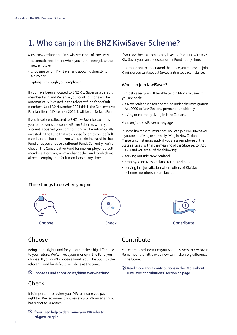# **1. Who can join the BNZ KiwiSaver Scheme?**

Most New Zealanders join KiwiSaver in one of three ways:

- automatic enrollment when you start a new job with a new employer
- choosing to join KiwiSaver and applying directly to a provider
- opting in through your employer.

If you have been allocated to BNZ KiwiSaver as a default member by Inland Revenue your contributions will be automatically invested in the relevant fund for default members. Until 30 November 2021 this is the Conservative Fund and from 1 December 2021, it will be the Default Fund.

If you have been allocated to BNZ KiwiSaver because it is your employer's chosen KiwiSaver Scheme, when your account is opened your contributions will be automatically invested in the Fund that we choose for employer default members at that time. You will remain invested in that Fund until you choose a different Fund. Currently, we've chosen the Conservative Fund for new employer default members. However, we may change the Fund to which we allocate employer default members at any time.

If you have been automatically invested in a Fund with BNZ KiwiSaver you can choose another Fund at any time.

It is important to understand that once you choose to join KiwiSaver you can't opt out (except in limited circumstances).

#### **Who can join KiwiSaver?**

In most cases you will be able to join BNZ KiwiSaver if you are both:

- a New Zealand citizen or entitled under the Immigration Act 2009 to New Zealand permanent residency
- living or normally living in New Zealand.

You can join KiwiSaver at any age.

In some limited circumstances, you can join BNZ KiwiSaver if you are not living or normally living in New Zealand. These circumstances apply if you are an employee of the State services (within the meaning of the State Sector Act 1988) and you are all of the following:

- serving outside New Zealand
- employed on New Zealand terms and conditions
- serving in a jurisdiction where offers of KiwiSaver scheme membership are lawful.

#### **Three things to do when you join**







### **Choose**

Being in the right Fund for you can make a big difference to your future. We'll invest your money in the Fund you choose. If you don't choose a Fund, you'll be put into the relevant Fund for default members at the time.

#### **Choose a Fund at bnz.co.nz/kiwisaverwhatfund**

### **Check**

It is important to review your PIR to ensure you pay the right tax. We recommend you review your PIR on an annual basis prior to 31 March.

 **If you need help to determine your PIR refer to Ird.govt.nz/pir** 

# **Contribute**

You can choose how much you want to save with KiwiSaver. Remember that little extra now can make a big difference in the future.

 **Read more about contributions in the 'More about KiwiSaver contributions' section on page 5.**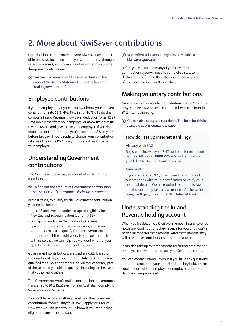# **2. More about KiwiSaver contributions**

Contributions can be made to your KiwiSaver account in different ways, including employee contributions (through salary or wages), employer contributions and voluntary 'lump sum' contributions.

 **You can read more about these in Section 2 of the**  *Product Disclosure Statement* **under the heading 'Making Investments'.**

# **Employee contributions**

If you're employed, let your employer know your chosen contribution rate (3%, 4%, 6%, 8% or 10%). To do this, complete Inland Revenue's KiwiSaver deduction form (KS2) – available either from your employer or **www.ird.govt.nz**  (search KS2) – and give this to your employer. If you don't choose a contribution rate, you'll contribute 3% of your before tax pay. If you decide to change your contribution rate, use the same KS2 form, complete it and give to your employer.

### **Understanding Government contributions**

The Government also pays a contribution to eligible members.

 **To find out the amount of Government contribution, see Section 2 of the** *Product Disclosure Statement***.**

In most cases, to qualify for the Government contribution you need to be both:

- aged 18 and over but under the age of eligibility for New Zealand Superannuation (currently 65)
- principally residing in New Zealand. Overseas government workers, charity workers, and some volunteers may also qualify for the Government contribution. If this might apply to you, get in touch with us so that we can help you work out whether you qualify for the Government contribution.

Government contributions are paid annually based on the number of days in each year (1 July to 30 June) you qualified for it. So, the contribution will reduce for any part of the year that you did not qualify – including the first year that you joined KiwiSaver.

The Government won't make contributions on amounts transferred to BNZ KiwiSaver from an Australian Complying Superannuation Scheme.

You don't have to do anything to get paid the Government contribution if you qualify for it. We'll apply for it for you. However, you do need to let us know if you stop being eligible for any other reason.

 More information about eligibility is available at **kiwisaver.govt.nz**

Before you can withdraw any of your Government contributions, you will need to complete a statutory declaration confirming the dates your principal place of residence has been in New Zealand.

# **Making voluntary contributions**

Making one-off or regular contributions to the Scheme is easy. Your BNZ KiwiSaver account number can be found in BNZ Internet Banking.

 **You can also set up a direct debit. The form for this is available at bnz.co.nz/kiwisaver**

#### **How do I set up Internet Banking?**

#### **Already with BNZ**

Register online with your BNZ credit card or telephone banking PIN or call **0800 275 269** and let us know you'd like BNZ Internet Banking access.

#### **New to BNZ**

If you are new to BNZ you will need to visit one of our branches with your identification to verify your personal details. We are required to do this by law and it should only take a few minutes. At the same time, we'll get you set up in BNZ Internet Banking.

### **Understanding the Inland Revenue holding account**

When you first become a KiwiSaver member, Inland Revenue holds any contributions they receive for you until you've been a member for three months. After three months, they will pass these contributions plus interest to us.

It can also take up to three months for further employer or employee contributions to reach your Scheme account.

You can contact Inland Revenue if you have any questions about the amount of your contributions they hold, or the total amount of your employer or employee contributions that they have processed.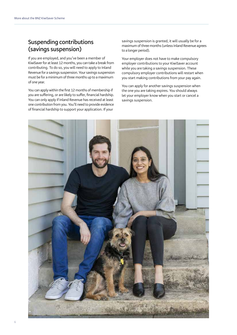### **Suspending contributions (savings suspension)**

If you are employed, and you've been a member of KiwiSaver for at least 12 months, you can take a break from contributing. To do so, you will need to apply to Inland Revenue for a savings suspension. Your savings suspension must be for a minimum of three months up to a maximum of one year.

You can apply within the first 12 months of membership if you are suffering, or are likely to suffer, financial hardship. You can only apply if Inland Revenue has received at least one contribution from you. You'll need to provide evidence of financial hardship to support your application. If your

savings suspension is granted, it will usually be for a maximum of three months (unless Inland Revenue agrees to a longer period).

Your employer does not have to make compulsory employer contributions to your KiwiSaver account while you are taking a savings suspension. These compulsory employer contributions will restart when you start making contributions from your pay again.

You can apply for another savings suspension when the one you are taking expires. You should always let your employer know when you start or cancel a savings suspension.

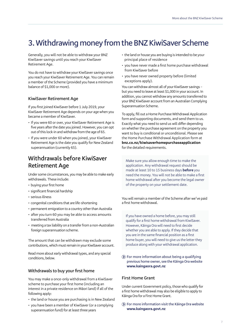# **3. Withdrawing money from the BNZ KiwiSaver Scheme**

Generally, you will not be able to withdraw your BNZ KiwiSaver savings until you reach your KiwiSaver Retirement Age.

You do not have to withdraw your KiwiSaver savings once you reach your KiwiSaver Retirement Age. You can remain a member of the Scheme (provided you have a minimum balance of \$1,000 or more).

#### **KiwiSaver Retirement Age**

If you first joined KiwiSaver before 1 July 2019, your KiwiSaver Retirement Age depends on your age when you became a member of KiwiSaver.

- If you were 60 or over, your KiwiSaver Retirement Age is five years after the date you joined. However, you can opt out of this lock-in and withdraw from the age of 65.
- If you were under 60 when you joined, your KiwiSaver Retirement Age is the date you qualify for New Zealand superannuation (currently 65).

### **Withdrawals before KiwiSaver Retirement Age**

Under some circumstances, you may be able to make early withdrawals. These include:

- buying your first home
- significant financial hardship
- serious illness
- congenital conditions that are life-shortening
- permanent emigration to a country other than Australia
- after you turn 60 you may be able to access amounts transferred from Australia
- meeting a tax liability on a transfer from a non-Australian foreign superannuation scheme.

The amount that can be withdrawn may exclude some contributions, which must remain in your KiwiSaver account.

Read more about early withdrawal types, and any special conditions, below.

#### **Withdrawals to buy your first home**

You may make a once-only withdrawal from a KiwiSaver scheme to purchase your first home (including an interest in a private residence on Māori land) if all of the following apply:

- the land or house you are purchasing is in New Zealand
- you have been a member of KiwiSaver (or a complying superannuation fund) for at least three years
- the land or house you are buying is intended to be your principal place of residence
- you have never made a first home purchase withdrawal from KiwiSaver before
- you have never owned property before (limited exceptions apply).

You can withdraw almost all of your KiwiSaver savings – but you need to leave at least \$1,000 in your account. In addition, you cannot withdraw any amounts transferred to your BNZ KiwiSaver account from an Australian Complying Superannuation Scheme.

To apply, fill out a Home Purchase Withdrawal Application form and supporting documents, and send them to us. Exactly what you need to send us will differ depending on whether the purchase agreement on the property you want to buy is conditional or unconditional. Please see the Home Purchase Withdrawal Application form at **bnz.co.nz/kiwisaverhomepurchaseapplication** for the detailed requirements.

Make sure you allow enough time to make the application. Any withdrawal request should be made at least 10 to 15 business days **before** you need the money. You will not be able to make a first home withdrawal after you become the legal owner of the property on your settlement date.

You will remain a member of the Scheme after we've paid a first home withdrawal.

If you have owned a home before, you may still qualify for a first home withdrawal from KiwiSaver. However, Kāinga Ora will need to first decide whether you are able to apply. If they decide that you are in the same financial position as a first home buyer, you will need to give us the letter they produce along with your withdrawal application.

 **For more information about being a qualifying previous home owner, see the Kāinga Ora website www.kaingaora.govt.nz**

#### **First Home Grant**

Under current Government policy, those who qualify for a first home withdrawal may also be eligible to apply to Kāinga Ora for a First Home Grant.

 **For more information visit the Kāinga Ora website www.kaingaora.govt.nz**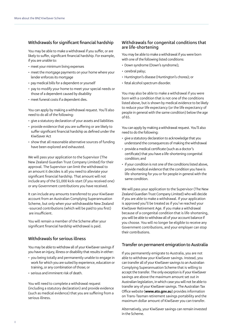#### **Withdrawals for significant financial hardship**

You may be able to make a withdrawal if you suffer, or are likely to suffer, significant financial hardship. For example, if you are unable to:

- meet your minimum living expenses
- meet the mortgage payments on your home where your lender enforces its mortgage
- pay medical bills for a dependent or yourself
- pay to modify your home to meet your special needs or those of a dependent caused by disability
- meet funeral costs if a dependent dies.

You can apply by making a withdrawal request. You'll also need to do all of the following:

- give a statutory declaration of your assets and liabilities
- provide evidence that you are suffering or are likely to suffer significant financial hardship as defined under the KiwiSaver Act
- show that all reasonable alternative sources of funding have been explored and exhausted.

We will pass your application to the Supervisor (The New Zealand Guardian Trust Company Limited) for their approval. The Supervisor can limit the withdrawal to an amount it decides is all you need to alleviate your significant financial hardship. That amount will not include any of the \$1,000 kick-start (if you received one) or any Government contributions you have received.

It can include any amounts transferred to your KiwiSaver account from an Australian Complying Superannuation Scheme, but only when your withdrawable New Zealand -sourced contributions (which will be paid to you first) are insufficient.

You will remain a member of the Scheme after your significant financial hardship withdrawal is paid.

#### **Withdrawals for serious illness**

You may be able to withdraw all of your KiwiSaver savings if you have an injury, illness or disability that results in either:

- you being totally and permanently unable to engage in work for which you are suited by experience, education or training, or any combination of those; or
- serious and imminent risk of death.

You will need to complete a withdrawal request (including a statutory declaration) and provide evidence (such as medical evidence) that you are suffering from a serious illness.

#### **Withdrawals for congenital conditions that are life-shortening**

You may be able to make a withdrawal if you were born with one of the following listed conditions:

- Down syndrome (Down's syndrome);
- cerebral palsy;
- Huntington's disease (Huntington's chorea); or
- fetal alcohol spectrum disorder.

You may also be able to make a withdrawal if you were born with a condition that is not one of the conditions listed above, but is shown by medical evidence to be likely to reduce your life expectancy (or the life expectancy of people in general with the same condition) below the age of 65.

You can apply by making a withdrawal request. You'll also need to do the following:

- give a statutory declaration to acknowledge that you understand the consequences of making the withdrawal
- provide a medical certificate (such as a doctor's certificate) that you have a life-shortening congenital condition; and
- if your condition is not one of the conditions listed above, provide medical evidence that the condition you have is life-shortening for you or for people in general with the same condition.

We will pass your application to the Supervisor (The New Zealand Guardian Trust Company Limited) who will decide if you are able to make a withdrawal. If your application is approved you'll be treated as if you've reached your KiwiSaver Retirement Age. If you make a withdrawal because of a congenital condition that is life-shortening, you will be able to withdraw all of your account balance if you choose. You will no longer be eligible to receive any Government contributions, and your employer can stop their contributions.

#### **Transfer on permanent emigration to Australia**

If you permanently emigrate to Australia, you are not able to withdraw your KiwiSaver savings. Instead, you can transfer all of your KiwiSaver savings to an Australian Complying Superannuation Scheme that is willing to accept the transfer. The only exception is if your KiwiSaver savings are above the maximum amount set out in Australian legislation, in which case you will not be able to transfer any of your KiwiSaver savings. The Australian Tax Office website (**www.ato.gov.au**) provides information on Trans-Tasman retirement savings portability and the maximum dollar amount of KiwiSaver you can transfer.

Alternatively, your KiwiSaver savings can remain invested in the Scheme.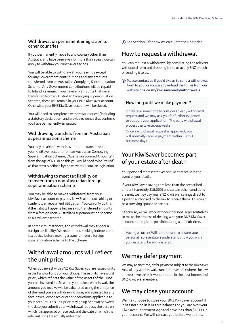#### **Withdrawal on permanent emigration to other countries**

If you permanently move to any country other than Australia, and have been away for more than a year, you can apply to withdraw your KiwiSaver savings.

You will be able to withdraw all your savings except for any Government contributions and any amounts transferred from an Australian Complying Superannuation Scheme. Any Government contributions will be repaid to Inland Revenue. If you have any amounts that were transferred from an Australian Complying Superannuation Scheme, these will remain in your BNZ KiwiSaver account. Otherwise, your BNZ KiwiSaver account will be closed.

You will need to complete a withdrawal request (including a statutory declaration) and provide evidence that confirms you have permanently emigrated.

#### **Withdrawing transfers from an Australian superannuation scheme**

You may be able to withdraw amounts transferred to your KiwiSaver account from an Australian Complying Superannuation Scheme, ('Australian Sourced Amounts') from the age of 60. To do this you would need to be 'retired' as that term is defined by the relevant Australian legislation.

#### **Withdrawing to meet tax liability on transfer from a non-Australian foreign superannuation scheme**

You may be able to make a withdrawal from your KiwiSaver account to pay any New Zealand tax liability or student loan repayment obligation. You can only do this if the liability happens because you transferred amounts from a foreign (non-Australian) superannuation scheme to a KiwiSaver scheme.

In some circumstances, the withdrawal may trigger a foreign tax liability. We recommend seeking independent tax advice before making a transfer from a foreign superannuation scheme to the Scheme.

# **Withdrawal amounts will reflect the unit price**

When you invest with BNZ KiwiSaver, you are issued units in the Fund or Funds of your choice. These units have a unit price, which reflects the value of the assets of the Fund you are invested in. So when you make a withdrawal, the amount you receive will be calculated using the unit price of the Fund you are withdrawing from, and adjusted for any fees, taxes, expenses or other deductions applicable to your account. This unit price may go up or down between the date you submit your withdrawal request, the date on which it is approved or received, and the date on which the relevant units are actually redeemed.

**(5) See Section 8 for how we calculate the unit price.** 

### **How to request a withdrawal**

You can request a withdrawal by completing the relevant withdrawal form and dropping it into us at any BNZ branch or sending it to us.

 **Please contact us if you'd like us to send a withdrawal form to you, or you can download the forms from our website bnz.co.nz/kiwisaverearlywithdrawals**

#### **How long until we make payment?**

It may take some time to consider an early withdrawal request and we may ask you for further evidence to support your application. The early withdrawal process can take several weeks.

Once a withdrawal request is approved, you will normally receive payment within 10 to 15 business days.

### **Your KiwiSaver becomes part of your estate after death**

Your personal representatives should contact us in the event of your death.

If your KiwiSaver savings are less than the prescribed amount (currently \$15,000) and certain other conditions are met, we may pay your BNZ KiwiSaver savings direct to a person authorised by the law to receive them. This could be a surviving spouse or partner.

Otherwise, we will work with your personal representatives to make the process of dealing with your BNZ KiwiSaver account as simple as possible during a difficult time.

Having a current Will is important to ensure your personal representative understands how you wish your estate to be administered.

# **We may defer payment**

We may at any time, defer payment subject to the KiwiSaver Act, of any withdrawal, transfer or switch (where the law allows) if we think it would not be in the best interests of BNZ KiwiSaver members.

# **We may close your account**

We may choose to close your BNZ KiwiSaver account if it has nothing in it (a zero balance) or you are over your KiwiSaver Retirement Age and have less than \$1,000 in your account. We will contact you before we do this.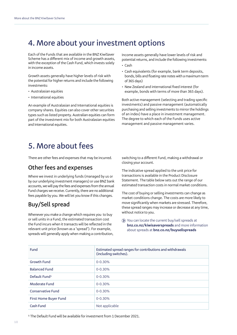# **4. More about your investment options**

Each of the Funds that are available in the BNZ KiwiSaver Scheme has a different mix of income and growth assets, with the exception of the Cash Fund, which invests solely in income assets.

Growth assets generally have higher levels of risk with the potential for higher returns and include the following investments:

- Australasian equities
- International equities

An example of Australasian and International equities is company shares. Equities can also cover other securities types such as listed property. Australian equities can form part of the investment mix for both Australasian equities and International equities.

Income assets generally have lower levels of risk and potential returns, and include the following investments:

- Cash
- Cash equivalents (for example, bank term deposits, bonds, bills and floating rate notes with a maximum term of 365 days)
- New Zealand and international fixed interest (for example, bonds with terms of more than 365 days).

Both active management (selecting and trading specific investments) and passive management (automatically purchasing and selling investments to mirror the holdings of an index) have a place in investment management. The degree to which each of the Funds uses active management and passive management varies.

# **5. More about fees**

There are other fees and expenses that may be incurred.

### **Other fees and expenses**

Where we invest in underlying funds (managed by us or by our underlying investment managers) or use BNZ bank accounts, we will pay the fees and expenses from the annual Fund charges we receive. Currently, there are no additional fees payable by you. We will let you know if this changes.

# **Buy/Sell spread**

Whenever you make a change which requires you to buy or sell units in a Fund, the estimated transaction cost the Fund incurs when it transacts will be reflected in the relevant unit price (known as a 'spread'). For example, spreads will generally apply when making a contribution, switching to a different Fund, making a withdrawal or closing your account.

The indicative spread applied to the unit price for transactions is available in the Product Disclosure Statement. The table below sets out the range of our estimated transaction costs in normal market conditions.

The cost of buying or selling investments can change as market conditions change. The costs are more likely to move significantly when markets are stressed. Therefore, these spread ranges may increase or decrease at any time, without notice to you.

You can locate the current buy/sell spreads at **bnz.co.nz/kiwisaverspreads** and more information about spreads at **bnz.co.nz/buysellspreads**

| Fund                      | Estimated spread ranges for contributions and withdrawals<br>(including switches). |  |
|---------------------------|------------------------------------------------------------------------------------|--|
| <b>Growth Fund</b>        | $0 - 0.30%$                                                                        |  |
| <b>Balanced Fund</b>      | $0 - 0.30%$                                                                        |  |
| Default Fund <sup>1</sup> | $0 - 0.30%$                                                                        |  |
| Moderate Fund             | $0 - 0.30%$                                                                        |  |
| <b>Conservative Fund</b>  | $0 - 0.30%$                                                                        |  |
| First Home Buyer Fund     | $0 - 0.30%$                                                                        |  |
| Cash Fund                 | Not applicable                                                                     |  |

<sup>1</sup> The Default Fund will be available for investment from 1 December 2021.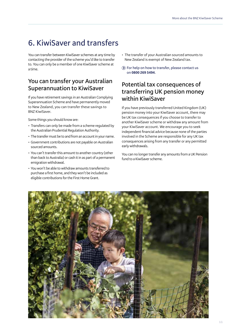# **6. KiwiSaver and transfers**

You can transfer between KiwiSaver schemes at any time by contacting the provider of the scheme you'd like to transfer to. You can only be a member of one KiwiSaver scheme at a time.

# **You can transfer your Australian Superannuation to KiwiSaver**

If you have retirement savings in an Australian Complying Superannuation Scheme and have permanently moved to New Zealand, you can transfer these savings to BNZ KiwiSaver.

Some things you should know are:

- Transfers can only be made from a scheme regulated by the Australian Prudential Regulation Authority.
- The transfer must be to and from an account in your name.
- Government contributions are not payable on Australian sourced amounts.
- You can't transfer this amount to another country (other than back to Australia) or cash it in as part of a permanent emigration withdrawal.
- You won't be able to withdraw amounts transferred to purchase a first home, and they won't be included as eligible contributions for the First Home Grant.
- The transfer of your Australian sourced amounts to New Zealand is exempt of New Zealand tax.
- **For help on how to transfer, please contact us on 0800 269 5494.**

### **Potential tax consequences of transferring UK pension money within KiwiSaver**

If you have previously transferred United Kingdom (UK) pension money into your KiwiSaver account, there may be UK tax consequences if you choose to transfer to another KiwiSaver scheme or withdraw any amount from your KiwiSaver account. We encourage you to seek independent financial advice because none of the parties involved in the Scheme are responsible for any UK tax consequences arising from any transfer or any permitted early withdrawals.

You can no longer transfer any amounts from a UK Pension fund to a KiwiSaver scheme.

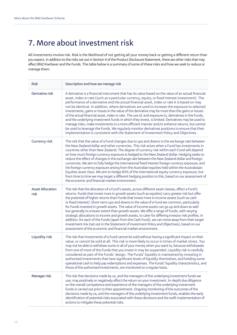# **7. More about investment risk**

All investments involve risk. Risk is the likelihood of not getting all your money back or getting a different return than you expect. In addition to the risks set out in Section 4 of the Product Disclosure Statement, there are other risks that may affect BNZ KiwiSaver and the Funds. The table below is a summary of some of these risks and how we seek to reduce or manage them.

| <b>Risk</b>                     | Description and how we manage risk                                                                                                                                                                                                                                                                                                                                                                                                                                                                                                                                                                                                                                                                                                                                                                                                                                                                                                                                                                                 |  |  |  |
|---------------------------------|--------------------------------------------------------------------------------------------------------------------------------------------------------------------------------------------------------------------------------------------------------------------------------------------------------------------------------------------------------------------------------------------------------------------------------------------------------------------------------------------------------------------------------------------------------------------------------------------------------------------------------------------------------------------------------------------------------------------------------------------------------------------------------------------------------------------------------------------------------------------------------------------------------------------------------------------------------------------------------------------------------------------|--|--|--|
| Derivative risk                 | A derivative is a financial instrument that has its value based on the value of an actual financial<br>asset, index or rate (such as a particular currency, equity, or fixed interest investment). The<br>performance of a derivative and the actual financial asset, index or rate it is based on may<br>not be identical. In addition, where derivatives are used to increase the exposure to selected<br>investments, gains or losses in the value of the derivative may be more than the gains or losses<br>of the actual financial asset, index or rate. The use of, and exposure to, derivatives in the Funds,<br>and the underlying investment funds in which they invest, is limited. Derivatives may be used to<br>manage risks, make investments in a more efficient manner and/or enhance returns, but cannot<br>be used to leverage the Funds. We regularly monitor derivatives positions to ensure that their<br>implementation is consistent with the Statement of Investment Policy and Objectives. |  |  |  |
| <b>Currency risk</b>            | The risk that the value of a Fund changes due to ups and downs in the exchange rate between<br>the New Zealand dollar and other currencies. This risk arises when a Fund has investments in<br>countries other than New Zealand. The degree of currency risk within each Fund will depend<br>on how much foreign currency exposure is hedged to the New Zealand dollar. Hedging seeks to<br>reduce the effect of changes in the exchange rate between the New Zealand dollar and foreign<br>currencies. We aim to fully hedge the international fixed interest foreign currency exposure, and<br>the foreign currency exposure arising from the Australian equities held within the Australasian<br>Equities asset class. We aim to hedge 60% of the international equity currency exposure, but<br>from time to time we may target a different hedging position to this, based on our assessment of<br>the economic and financial market environment.                                                             |  |  |  |
| <b>Asset Allocation</b><br>risk | The risk that the allocation of a Fund's assets, across different asset classes, affect a Fund's<br>returns. Funds that invest more in growth assets (such as equities) carry greater risk but offer<br>the potential of higher returns than Funds that invest more in income assets (such as cash<br>or fixed interest). Short-term ups and downs in the value of a Fund are common, particularly<br>for Funds invested in growth assets. The value of income assets can go up and down as well<br>but generally to a lesser extent than growth assets. We offer a range of Funds, with varying<br>strategic allocations to income and growth assets, to cater for differing investor risk profiles. In<br>addition, for each of the Funds (apart from the Cash Fund), we can move away from their target<br>investment mix (set out in the Statement of Investment Policy and Objectives), based on our<br>assessment of the economic and financial market environment.                                          |  |  |  |
| Liquidity risk                  | The risk that investments of a Fund cannot be sold without having a significant impact on their<br>value, or cannot be sold at all. This risk is more likely to occur in times of market stress. You<br>may not be able to withdraw some or all of your money when you want to, because withdrawals<br>from one of more of the Funds that you invest in may be suspended. Liquidity risk is carefully<br>considered as part of the Funds' design. The Funds' liquidity is maintained by investing in<br>authorised investments that have significant levels of liquidity themselves, and holding some<br>operational cash to help pay redemptions and expenses. The Funds' liquidity characteristics, and<br>those of the authorised investments, are monitored on a regular basis.                                                                                                                                                                                                                                |  |  |  |
| Manager risk                    | The risk that decisions made by us, and the managers of the underlying investment funds we<br>use, may positively or negatively affect the return on your investment. In-depth due diligence<br>on the overall competence and experience of the managers of the underlying investment<br>funds is carried out prior to their appointment. Ongoing monitoring of the outcomes of the<br>decisions made by us, and the managers of the underlying investment funds, enables the early<br>identification of potential risks associated with these decisions and the swift implementation of<br>actions to mitigate these potential risks.                                                                                                                                                                                                                                                                                                                                                                             |  |  |  |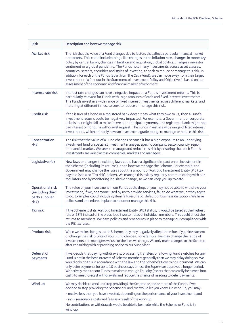| <b>Risk</b>                                                     | Description and how we manage risk                                                                                                                                                                                                                                                                                                                                                                                                                                                                                                                                                                                                                                                                                                                                      |  |  |  |
|-----------------------------------------------------------------|-------------------------------------------------------------------------------------------------------------------------------------------------------------------------------------------------------------------------------------------------------------------------------------------------------------------------------------------------------------------------------------------------------------------------------------------------------------------------------------------------------------------------------------------------------------------------------------------------------------------------------------------------------------------------------------------------------------------------------------------------------------------------|--|--|--|
| Market risk                                                     | The risk that the value of a Fund changes due to factors that affect a particular financial market<br>or markets. This could include things like changes in the inflation rate, changes in monetary<br>policy by central banks, changes in taxation and regulation, global politics, changes in investor<br>sentiment or a global pandemic. The Funds hold many investments across asset classes,<br>countries, sectors, securities and styles of investing, to seek to reduce or manage this risk. In<br>addition, for each of the Funds (apart from the Cash Fund), we can move away from their target<br>investment mix (set out in the Statement of Investment Policy and Objectives), based on our<br>assessment of the economic and financial market environment. |  |  |  |
| Interest rate risk                                              | Interest rate changes can have a negative impact on a Fund's investment returns. This is<br>particularly relevant for Funds with large amounts of cash and fixed interest investments.<br>The Funds invest in a wide range of fixed interest investments across different markets, and<br>maturing at different times, to seek to reduce or manage this risk.                                                                                                                                                                                                                                                                                                                                                                                                           |  |  |  |
| Credit risk                                                     | If the issuer of a bond or a registered bank doesn't pay what they owe to us, then a Fund's<br>investment returns could be negatively impacted. For example, a Government or corporate<br>debt issuer might fail to make interest or principal payments, or a registered bank might not<br>pay interest or honour a withdrawal request. The Funds invest in a wide range of fixed interest<br>investments, which primarily have an investment-grade rating, to manage or reduce this risk.                                                                                                                                                                                                                                                                              |  |  |  |
| Concentration<br>risk                                           | The risk that the value of a Fund changes because it has a high exposure to an underlying<br>investment fund or specialist investment manager, specific company, sector, country, region,<br>or financial market. We seek to manage and reduce this risk by ensuring that each Fund's<br>investments are varied across companies, markets and managers.                                                                                                                                                                                                                                                                                                                                                                                                                 |  |  |  |
| Legislative risk                                                | New laws or changes to existing laws could have a significant impact on an investment in<br>the Scheme (including its returns), or on how we manage the Scheme. For example, the<br>Government may change the rules about the amount of Portfolio Investment Entity (PIE) tax<br>payable (see also 'Tax risk', below). We manage this risk by regularly communicating with our<br>regulators and by monitoring legislative change, so we can keep you up to date.                                                                                                                                                                                                                                                                                                       |  |  |  |
| Operational risk<br>(including third<br>party supplier<br>risk) | The value of your investment in our Funds could drop, or you may not be able to withdraw your<br>investment, if we, or anyone used by us to provide services, fail to do what we, or they agree<br>to do. Examples could include system failures, fraud, default or business disruption. We have<br>policies and procedures in place to reduce or manage this risk.                                                                                                                                                                                                                                                                                                                                                                                                     |  |  |  |
| <b>Tax risk</b>                                                 | If the Scheme lost its Portfolio Investment Entity (PIE) status, it would be taxed at the highest<br>rate of 28% instead of the prescribed investor rates of individual members. This could affect the<br>returns to members. We have policies and procedures in place to manage our compliance with<br>the PIE tax rules.                                                                                                                                                                                                                                                                                                                                                                                                                                              |  |  |  |
| Product risk                                                    | When we make changes to the Scheme, they may negatively affect the value of your investment<br>or change the risk profile of your Fund choices. For example, we may change the range of<br>investments, the managers we use or the fees we charge. We only make changes to the Scheme<br>after consulting with or providing notice to our Supervisor.                                                                                                                                                                                                                                                                                                                                                                                                                   |  |  |  |
| Deferral of<br>payments                                         | If we decide that paying withdrawals, processing transfers or allowing Fund switches for any<br>Fund is not in the best interests of Scheme members generally then we may delay doing so. We<br>would only do this in accordance with the law and the Scheme's Governing Document. We can<br>only defer payments for up to 10 business days unless the Supervisor approves a longer period.<br>We actively monitor our Funds to maintain enough liquidity (assets that can easily be turned into<br>cash) to meet forecast withdrawals and reduce the chance of needing to defer payments.                                                                                                                                                                              |  |  |  |
| Wind up                                                         | We may decide to wind up (stop providing) the Scheme or one or more of the Funds. If we<br>decided to stop providing the Scheme or Fund, we would let you know. On wind-up, you may:<br>· receive less than you have invested, depending on the performance of your investment, and<br>• incur reasonable costs and fees as a result of the wind-up.<br>No contributions or withdrawals would be able to be made while the Scheme or Fund is in<br>wind-up.                                                                                                                                                                                                                                                                                                             |  |  |  |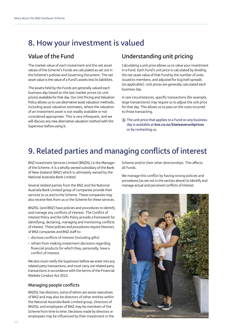# **8. How your investment is valued**

# **Value of the Fund**

The market value of each investment and the net asset values of the Scheme's Funds are calculated as set out in the Scheme's policies and Governing Document. The net asset value is the value of a Fund's assets less its liabilities.

The assets held by the Funds are generally valued each business day based on the last market prices (or unit prices) available for that day. Our Unit Pricing and Valuation Policy allows us to use alternative asset valuation methods, including asset valuation estimates, where the valuation of an investment asset is not readily available or not considered appropriate. This is very infrequent, and we will discuss any new alternative valuation method with the Supervisor before using it.

### **Understanding unit pricing**

Calculating a unit price allows us to value your investment in a Fund. Each Fund's unit price is calculated by dividing the net asset value of that Fund by the number of units issued to members, and adjusted for buy/sell spreads (as applicable). Unit prices are generally calculated each business day.

In rare circumstances, specific transactions (for example, large transactions) may require us to adjust the unit price for that day. This allows us to pass on the costs incurred to those transacting.

 **The unit price that applies to a Fund on any business day is available at bnz.co.nz/kiwisaverunitprices or by contacting us.**

# **9. Related parties and managing conflicts of interest**

BNZ Investment Services Limited (BNZISL) is the Manager of the Scheme. It is a wholly owned subsidiary of the Bank of New Zealand (BNZ) which is ultimately owned by the National Australia Bank Limited.

Several related parties from the BNZ and the National Australia Bank Limited group of companies provide their services to us and to the Scheme. These companies may also receive fees from us or the Scheme for these services.

BNZISL (and BNZ) have policies and procedures to identify and manage any conflicts of interest. The Conflict of Interest Policy and the Gifts Policy provide a framework for identifying, declaring, managing and monitoring conflicts of interest. These policies and procedures require Directors of BNZ companies and BNZ staff to:

- disclose conflicts of interest (including gifts)
- refrain from making investment decisions regarding financial products for which they, personally, have a conflict of interest.

We also must notify the Supervisor before we enter into any related party transactions, and must carry out related party transactions in accordance with the terms of the Financial Markets Conduct Act 2013.

#### **Managing people conflicts**

BNZISL has directors, some of whom are senior executives of BNZ and may also be directors of other entities within the National Australia Bank Limited group. Directors of BNZISL and employees of BNZ may be members of the Scheme from time to time. Decisions made by directors or employees may be influenced by their investment in the

Scheme and/or their other directorships. This affects all Funds.

We manage this conflict by having strong policies and procedures (as set out in the section above) to identify and manage actual and perceived conflicts of interest.

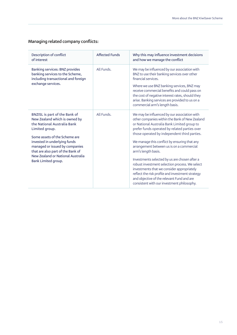### **Managing related company conflicts:**

| Description of conflict<br>of interest                                                                                                           | <b>Affected Funds</b> | Why this may influence investment decisions<br>and how we manage the conflict                                                                                                                                                                                                                 |
|--------------------------------------------------------------------------------------------------------------------------------------------------|-----------------------|-----------------------------------------------------------------------------------------------------------------------------------------------------------------------------------------------------------------------------------------------------------------------------------------------|
| <b>Banking services: BNZ provides</b><br>banking services to the Scheme,<br>including transactional and foreign                                  | All Funds.            | We may be influenced by our association with<br>BNZ to use their banking services over other<br>financial services.                                                                                                                                                                           |
| exchange services.                                                                                                                               |                       | Where we use BNZ banking services, BNZ may<br>receive commercial benefits and could pass on<br>the cost of negative interest rates, should they<br>arise. Banking services are provided to us on a<br>commercial arm's length basis.                                                          |
| BNZISL is part of the Bank of<br>New Zealand which is owned by<br>the National Australia Bank<br>Limited group.<br>Some assets of the Scheme are | All Funds.            | We may be influenced by our association with<br>other companies within the Bank of New Zealand<br>or National Australia Bank Limited group to<br>prefer funds operated by related parties over<br>those operated by independent third parties.                                                |
| invested in underlying funds<br>managed or issued by companies<br>that are also part of the Bank of<br>New Zealand or National Australia         |                       | We manage this conflict by ensuring that any<br>arrangement between us is on a commercial<br>arm's length basis.                                                                                                                                                                              |
| Bank Limited group.                                                                                                                              |                       | Investments selected by us are chosen after a<br>robust investment selection process. We select<br>investments that we consider appropriately<br>reflect the risk profile and investment strategy<br>and objective of the relevant Fund and are<br>consistent with our investment philosophy. |